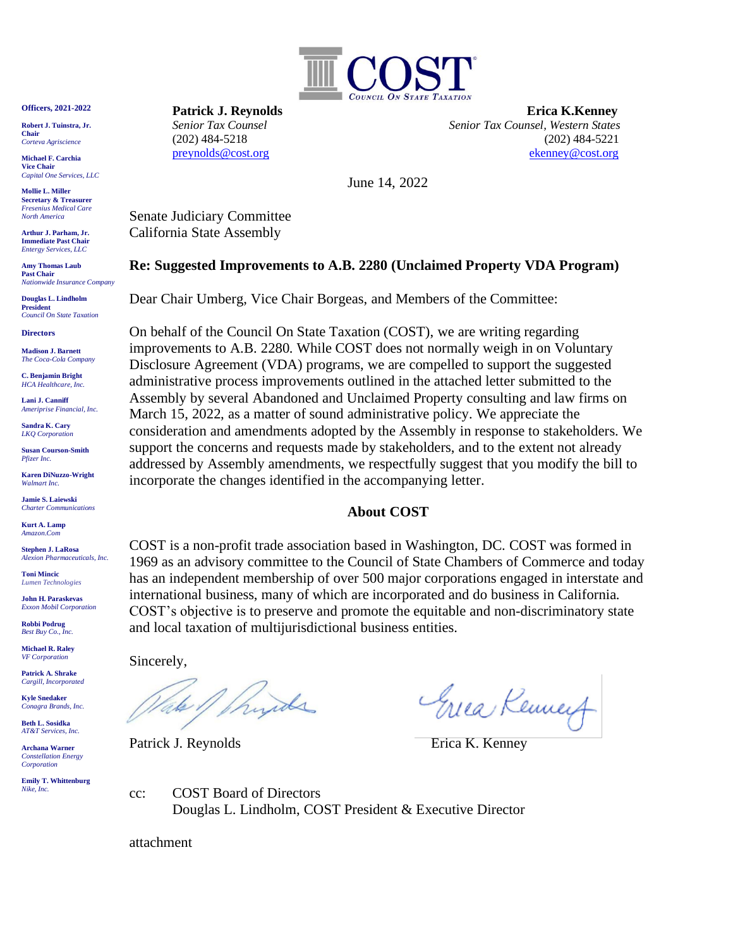

**Officers, 2021-2022**

**Robert J. Tuinstra, Jr. Chair** *Corteva Agriscience*

**Michael F. Carchia Vice Chair** *Capital One Services, LLC*

**Mollie L. Miller Secretary & Treasurer** *Fresenius Medical Care North America*

**Arthur J. Parham, Jr. Immediate Past Chair** *Entergy Services, LLC*

**Amy Thomas Laub Past Chair** *Nationwide Insurance Company*

**Douglas L. Lindholm President** *Council On State Taxation*

**Directors**

**Madison J. Barnett** *The Coca-Cola Company*

**C. Benjamin Bright** *HCA Healthcare, Inc.*

**Lani J. Canniff** *Ameriprise Financial, Inc.*

**Sandra K. Cary** *LKQ Corporation*

**Susan Courson-Smith** *Pfizer Inc.*

**Karen DiNuzzo-Wright** *Walmart Inc.*

**Jamie S. Laiewski** *Charter Communications*

**Kurt A. Lamp**  *Amazon.Com*

**Stephen J. LaRosa** *Alexion Pharmaceuticals, Inc.*

**Toni Mincic** *Lumen Technologies*

**John H. Paraskevas** *Exxon Mobil Corporation*

**Robbi Podrug** *Best Buy Co., Inc.*

**Michael R. Raley** *VF Corporation*

**Patrick A. Shrake** *Cargill, Incorporated*

**Kyle Snedaker** *Conagra Brands, Inc.*

**Beth L. Sosidka** *AT&T Services, Inc.*

**Archana Warner** *Constellation Energy Corporation*

**Emily T. Whittenburg** *Nike, Inc.*

**Patrick J. Reynolds Erica K.Kenney**  *Senior Tax Counsel Senior Tax Counsel, Western States* (202) 484-5218 (202) 484-5221 [preynolds@cost.org](mailto:preynolds@cost.org) [ekenney@cost.org](mailto:ekenney@cost.org)

June 14, 2022

Senate Judiciary Committee California State Assembly

### **Re: Suggested Improvements to A.B. 2280 (Unclaimed Property VDA Program)**

Dear Chair Umberg, Vice Chair Borgeas, and Members of the Committee:

On behalf of the Council On State Taxation (COST), we are writing regarding improvements to A.B. 2280. While COST does not normally weigh in on Voluntary Disclosure Agreement (VDA) programs, we are compelled to support the suggested administrative process improvements outlined in the attached letter submitted to the Assembly by several Abandoned and Unclaimed Property consulting and law firms on March 15, 2022, as a matter of sound administrative policy. We appreciate the consideration and amendments adopted by the Assembly in response to stakeholders. We support the concerns and requests made by stakeholders, and to the extent not already addressed by Assembly amendments, we respectfully suggest that you modify the bill to incorporate the changes identified in the accompanying letter.

# **About COST**

COST is a non-profit trade association based in Washington, DC. COST was formed in 1969 as an advisory committee to the Council of State Chambers of Commerce and today has an independent membership of over 500 major corporations engaged in interstate and international business, many of which are incorporated and do business in California. COST's objective is to preserve and promote the equitable and non-discriminatory state and local taxation of multijurisdictional business entities.

Sincerely,

hyde lake,

Patrick J. Reynolds Erica K. Kenney

Greea Kenney

cc: COST Board of Directors Douglas L. Lindholm, COST President & Executive Director

attachment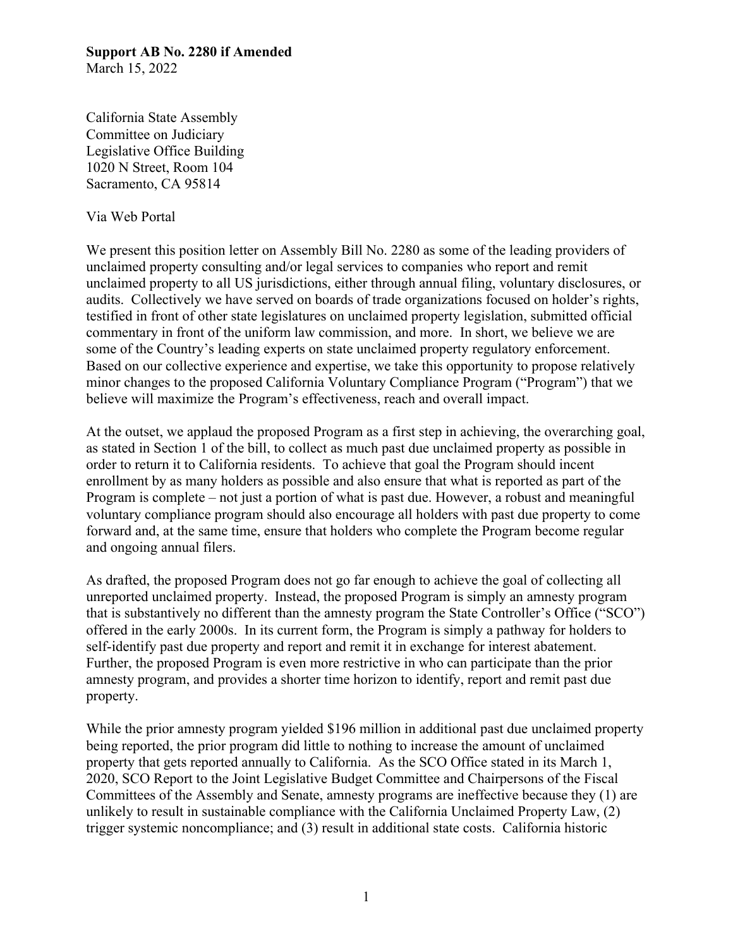#### **Support AB No. 2280 if Amended**  March 15, 2022

California State Assembly Committee on Judiciary Legislative Office Building 1020 N Street, Room 104 Sacramento, CA 95814

### Via Web Portal

We present this position letter on Assembly Bill No. 2280 as some of the leading providers of unclaimed property consulting and/or legal services to companies who report and remit unclaimed property to all US jurisdictions, either through annual filing, voluntary disclosures, or audits. Collectively we have served on boards of trade organizations focused on holder's rights, testified in front of other state legislatures on unclaimed property legislation, submitted official commentary in front of the uniform law commission, and more. In short, we believe we are some of the Country's leading experts on state unclaimed property regulatory enforcement. Based on our collective experience and expertise, we take this opportunity to propose relatively minor changes to the proposed California Voluntary Compliance Program ("Program") that we believe will maximize the Program's effectiveness, reach and overall impact.

At the outset, we applaud the proposed Program as a first step in achieving, the overarching goal, as stated in Section 1 of the bill, to collect as much past due unclaimed property as possible in order to return it to California residents. To achieve that goal the Program should incent enrollment by as many holders as possible and also ensure that what is reported as part of the Program is complete – not just a portion of what is past due. However, a robust and meaningful voluntary compliance program should also encourage all holders with past due property to come forward and, at the same time, ensure that holders who complete the Program become regular and ongoing annual filers.

As drafted, the proposed Program does not go far enough to achieve the goal of collecting all unreported unclaimed property. Instead, the proposed Program is simply an amnesty program that is substantively no different than the amnesty program the State Controller's Office ("SCO") offered in the early 2000s. In its current form, the Program is simply a pathway for holders to self-identify past due property and report and remit it in exchange for interest abatement. Further, the proposed Program is even more restrictive in who can participate than the prior amnesty program, and provides a shorter time horizon to identify, report and remit past due property.

While the prior amnesty program yielded \$196 million in additional past due unclaimed property being reported, the prior program did little to nothing to increase the amount of unclaimed property that gets reported annually to California. As the SCO Office stated in its March 1, 2020, SCO Report to the Joint Legislative Budget Committee and Chairpersons of the Fiscal Committees of the Assembly and Senate, amnesty programs are ineffective because they (1) are unlikely to result in sustainable compliance with the California Unclaimed Property Law, (2) trigger systemic noncompliance; and (3) result in additional state costs. California historic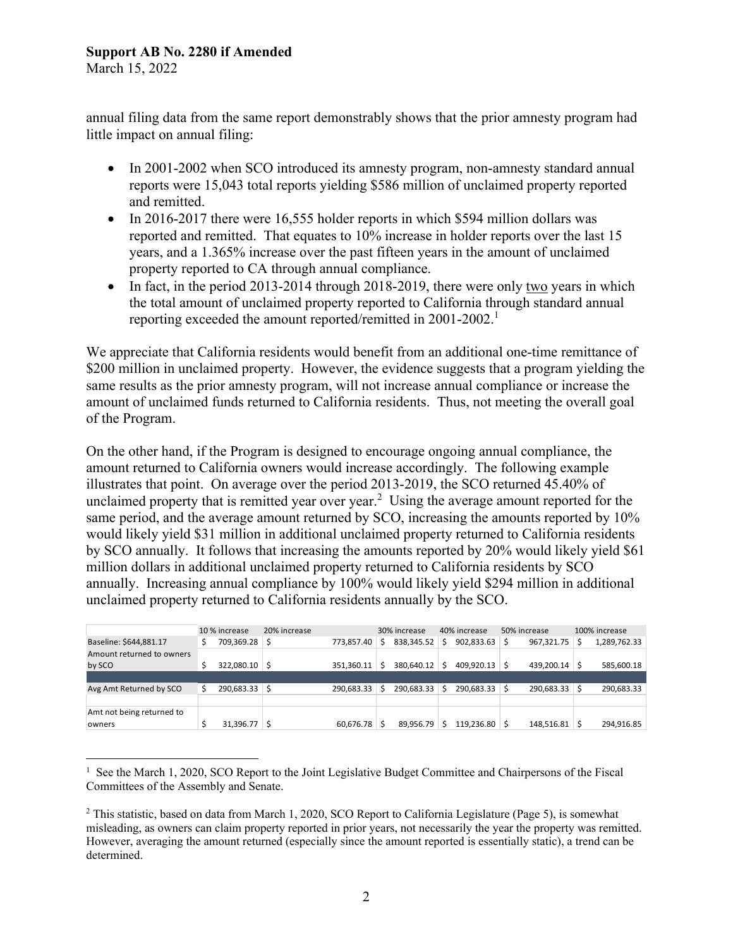# **Support AB No. 2280 if Amended**

March 15, 2022

annual filing data from the same report demonstrably shows that the prior amnesty program had little impact on annual filing:

- In 2001-2002 when SCO introduced its amnesty program, non-amnesty standard annual reports were 15,043 total reports yielding \$586 million of unclaimed property reported and remitted.
- In 2016-2017 there were 16,555 holder reports in which \$594 million dollars was reported and remitted. That equates to 10% increase in holder reports over the last 15 years, and a 1.365% increase over the past fifteen years in the amount of unclaimed property reported to CA through annual compliance.
- In fact, in the period 2013-2014 through 2018-2019, there were only two years in which the total amount of unclaimed property reported to California through standard annual reporting exceeded the amount reported/remitted in  $2001-2002$ <sup>1</sup>

We appreciate that California residents would benefit from an additional one-time remittance of \$200 million in unclaimed property. However, the evidence suggests that a program yielding the same results as the prior amnesty program, will not increase annual compliance or increase the amount of unclaimed funds returned to California residents. Thus, not meeting the overall goal of the Program.

On the other hand, if the Program is designed to encourage ongoing annual compliance, the amount returned to California owners would increase accordingly. The following example illustrates that point. On average over the period 2013-2019, the SCO returned 45.40% of unclaimed property that is remitted year over year.<sup>2</sup> Using the average amount reported for the same period, and the average amount returned by SCO, increasing the amounts reported by 10% would likely yield \$31 million in additional unclaimed property returned to California residents by SCO annually. It follows that increasing the amounts reported by 20% would likely yield \$61 million dollars in additional unclaimed property returned to California residents by SCO annually. Increasing annual compliance by 100% would likely yield \$294 million in additional unclaimed property returned to California residents annually by the SCO.

|                           | 10% increase |            | 20% increase |            | 30% increase |               | 40% increase |                 | 50% increase |               | 100% increase |              |
|---------------------------|--------------|------------|--------------|------------|--------------|---------------|--------------|-----------------|--------------|---------------|---------------|--------------|
| Baseline: \$644,881.17    |              | 709,369.28 | Ŝ            | 773.857.40 | -S           | 838.345.52    |              | 902,833.63      | Ś            | 967,321.75    |               | 1,289,762.33 |
| Amount returned to owners |              |            |              |            |              |               |              |                 |              |               |               |              |
| by SCO                    |              | 322,080.10 |              | 351.360.11 | ∣S           | 380.640.12 \$ |              | $409.920.13$ \$ |              | 439,200.14 \$ |               | 585,600.18   |
|                           |              |            |              |            |              |               |              |                 |              |               |               |              |
| Avg Amt Returned by SCO   |              | 290.683.33 | -S           | 290.683.33 |              | 290.683.33 \$ |              | $290.683.33$ \$ |              | 290,683.33 \$ |               | 290,683.33   |
|                           |              |            |              |            |              |               |              |                 |              |               |               |              |
| Amt not being returned to |              |            |              |            |              |               |              |                 |              |               |               |              |
| owners                    |              | 31.396.77  |              | 60,676.78  |              | 89.956.79     |              | $119,236.80$ \$ |              | 148,516.81 \$ |               | 294,916.85   |

<sup>&</sup>lt;sup>1</sup> See the March 1, 2020, SCO Report to the Joint Legislative Budget Committee and Chairpersons of the Fiscal Committees of the Assembly and Senate.

<sup>&</sup>lt;sup>2</sup> This statistic, based on data from March 1, 2020, SCO Report to California Legislature (Page 5), is somewhat misleading, as owners can claim property reported in prior years, not necessarily the year the property was remitted. However, averaging the amount returned (especially since the amount reported is essentially static), a trend can be determined.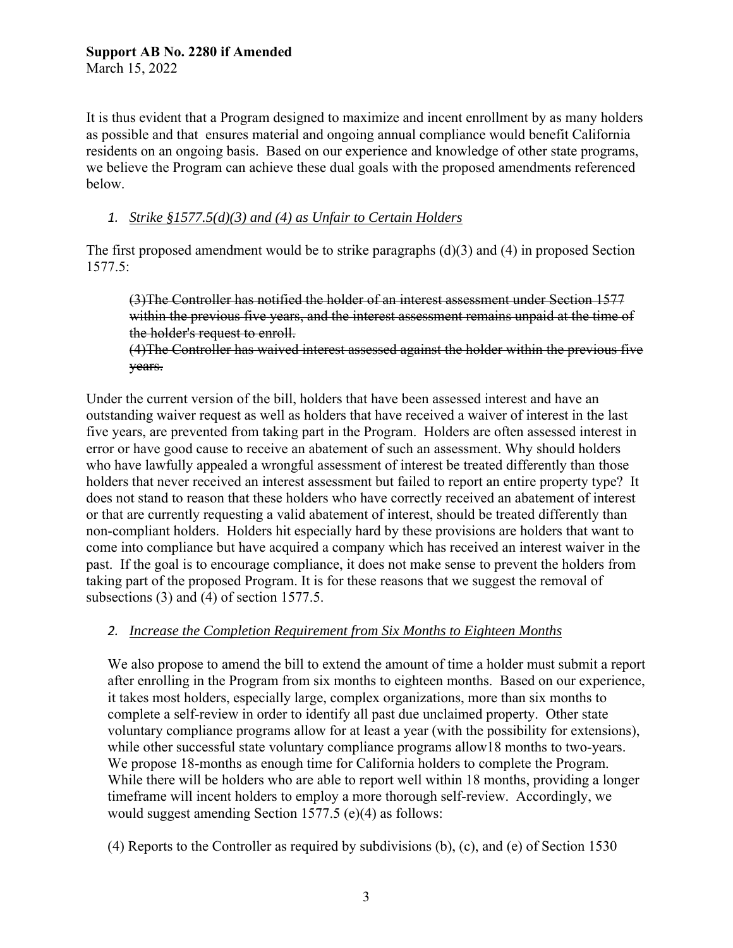It is thus evident that a Program designed to maximize and incent enrollment by as many holders as possible and that ensures material and ongoing annual compliance would benefit California residents on an ongoing basis. Based on our experience and knowledge of other state programs, we believe the Program can achieve these dual goals with the proposed amendments referenced below.

### *1. Strike §1577.5(d)(3) and (4) as Unfair to Certain Holders*

The first proposed amendment would be to strike paragraphs (d)(3) and (4) in proposed Section 1577.5:

(3)The Controller has notified the holder of an interest assessment under Section 1577 within the previous five years, and the interest assessment remains unpaid at the time of the holder's request to enroll.

(4)The Controller has waived interest assessed against the holder within the previous five years.

Under the current version of the bill, holders that have been assessed interest and have an outstanding waiver request as well as holders that have received a waiver of interest in the last five years, are prevented from taking part in the Program. Holders are often assessed interest in error or have good cause to receive an abatement of such an assessment. Why should holders who have lawfully appealed a wrongful assessment of interest be treated differently than those holders that never received an interest assessment but failed to report an entire property type? It does not stand to reason that these holders who have correctly received an abatement of interest or that are currently requesting a valid abatement of interest, should be treated differently than non-compliant holders. Holders hit especially hard by these provisions are holders that want to come into compliance but have acquired a company which has received an interest waiver in the past. If the goal is to encourage compliance, it does not make sense to prevent the holders from taking part of the proposed Program. It is for these reasons that we suggest the removal of subsections (3) and (4) of section 1577.5.

# *2. Increase the Completion Requirement from Six Months to Eighteen Months*

We also propose to amend the bill to extend the amount of time a holder must submit a report after enrolling in the Program from six months to eighteen months. Based on our experience, it takes most holders, especially large, complex organizations, more than six months to complete a self-review in order to identify all past due unclaimed property. Other state voluntary compliance programs allow for at least a year (with the possibility for extensions), while other successful state voluntary compliance programs allow18 months to two-years. We propose 18-months as enough time for California holders to complete the Program. While there will be holders who are able to report well within 18 months, providing a longer timeframe will incent holders to employ a more thorough self-review. Accordingly, we would suggest amending Section 1577.5 (e)(4) as follows:

(4) Reports to the Controller as required by subdivisions (b), (c), and (e) of Section 1530